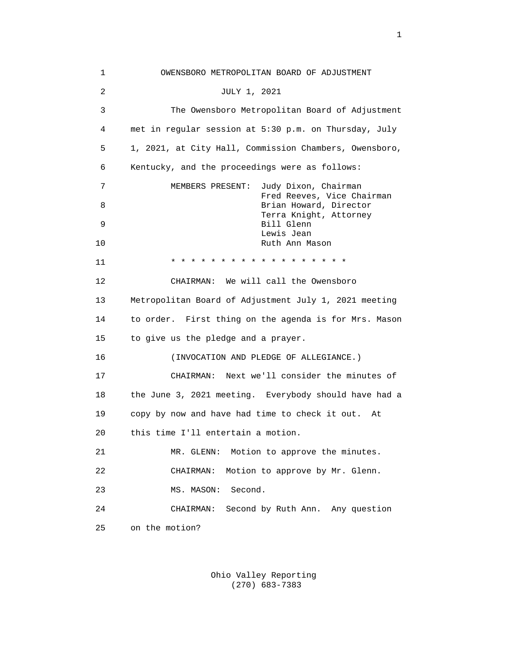1 OWENSBORO METROPOLITAN BOARD OF ADJUSTMENT 2 JULY 1, 2021 3 The Owensboro Metropolitan Board of Adjustment 4 met in regular session at 5:30 p.m. on Thursday, July 5 1, 2021, at City Hall, Commission Chambers, Owensboro, 6 Kentucky, and the proceedings were as follows: 7 MEMBERS PRESENT: Judy Dixon, Chairman Fred Reeves, Vice Chairman<br>Brian Howard, Director 8 Brian Howard, Director Terra Knight, Attorney<br>Bill Glenn<br>Bill Glenn 9 Bill Glenn Lewis Jean د Lewis Jean د Lewis Jean د Lewis Jean د Archives Jean د کلی کلی از این کشور د کلی کلی از این کشور ک<br>Ruth Ann Ma Ruth Ann Mason 11 \* \* \* \* \* \* \* \* \* \* \* \* \* \* \* \* \* \* 12 CHAIRMAN: We will call the Owensboro 13 Metropolitan Board of Adjustment July 1, 2021 meeting 14 to order. First thing on the agenda is for Mrs. Mason 15 to give us the pledge and a prayer. 16 (INVOCATION AND PLEDGE OF ALLEGIANCE.) 17 CHAIRMAN: Next we'll consider the minutes of 18 the June 3, 2021 meeting. Everybody should have had a 19 copy by now and have had time to check it out. At 20 this time I'll entertain a motion. 21 MR. GLENN: Motion to approve the minutes. 22 CHAIRMAN: Motion to approve by Mr. Glenn. 23 MS. MASON: Second. 24 CHAIRMAN: Second by Ruth Ann. Any question 25 on the motion?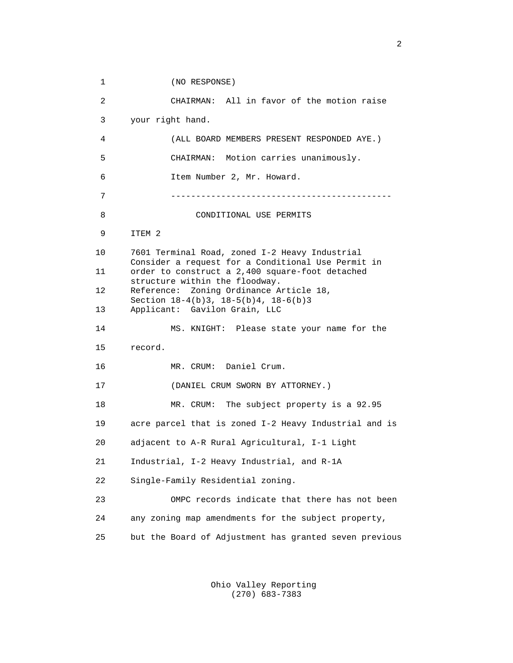1 (NO RESPONSE) 2 CHAIRMAN: All in favor of the motion raise 3 your right hand. 4 (ALL BOARD MEMBERS PRESENT RESPONDED AYE.) 5 CHAIRMAN: Motion carries unanimously. 6 Item Number 2, Mr. Howard. 7 -------------------------------------------- 8 CONDITIONAL USE PERMITS 9 ITEM 2 10 7601 Terminal Road, zoned I-2 Heavy Industrial Consider a request for a Conditional Use Permit in<br>11 order to construct a 2,400 square-foot detached order to construct a 2,400 square-foot detached structure within the floodway.<br>12 Reference: Zoning Ordinance A Reference: Zoning Ordinance Article 18, Section 18-4(b)3, 18-5(b)4, 18-6(b)3<br>13 Applicant: Gavilon Grain, LLC Applicant: Gavilon Grain, LLC 14 MS. KNIGHT: Please state your name for the 15 record. 16 MR. CRUM: Daniel Crum. 17 (DANIEL CRUM SWORN BY ATTORNEY.) 18 MR. CRUM: The subject property is a 92.95 19 acre parcel that is zoned I-2 Heavy Industrial and is 20 adjacent to A-R Rural Agricultural, I-1 Light 21 Industrial, I-2 Heavy Industrial, and R-1A 22 Single-Family Residential zoning. 23 OMPC records indicate that there has not been 24 any zoning map amendments for the subject property, 25 but the Board of Adjustment has granted seven previous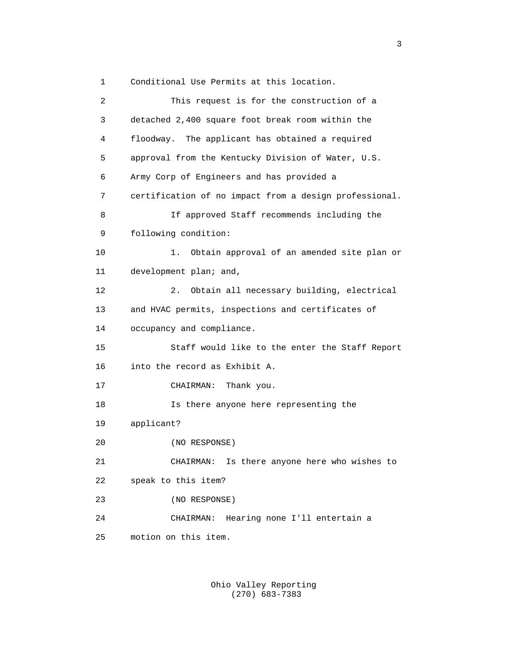1 Conditional Use Permits at this location.

| 2  | This request is for the construction of a              |
|----|--------------------------------------------------------|
| 3  | detached 2,400 square foot break room within the       |
| 4  | floodway. The applicant has obtained a required        |
| 5  | approval from the Kentucky Division of Water, U.S.     |
| 6  | Army Corp of Engineers and has provided a              |
| 7  | certification of no impact from a design professional. |
| 8  | If approved Staff recommends including the             |
| 9  | following condition:                                   |
| 10 | 1.<br>Obtain approval of an amended site plan or       |
| 11 | development plan; and,                                 |
| 12 | Obtain all necessary building, electrical<br>2.        |
| 13 | and HVAC permits, inspections and certificates of      |
| 14 | occupancy and compliance.                              |
| 15 | Staff would like to the enter the Staff Report         |
| 16 | into the record as Exhibit A.                          |
| 17 | Thank you.<br>CHAIRMAN:                                |
| 18 | Is there anyone here representing the                  |
| 19 | applicant?                                             |
| 20 | (NO RESPONSE)                                          |
| 21 | Is there anyone here who wishes to<br>CHAIRMAN:        |
| 22 | speak to this item?                                    |
| 23 | (NO RESPONSE)                                          |
| 24 | Hearing none I'll entertain a<br>CHAIRMAN:             |
| 25 | motion on this item.                                   |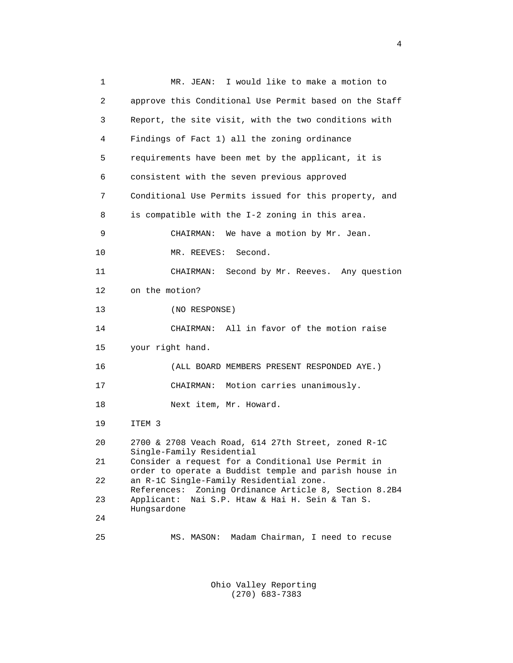1 MR. JEAN: I would like to make a motion to 2 approve this Conditional Use Permit based on the Staff 3 Report, the site visit, with the two conditions with 4 Findings of Fact 1) all the zoning ordinance 5 requirements have been met by the applicant, it is 6 consistent with the seven previous approved 7 Conditional Use Permits issued for this property, and 8 is compatible with the I-2 zoning in this area. 9 CHAIRMAN: We have a motion by Mr. Jean. 10 MR. REEVES: Second. 11 CHAIRMAN: Second by Mr. Reeves. Any question 12 on the motion? 13 (NO RESPONSE) 14 CHAIRMAN: All in favor of the motion raise 15 your right hand. 16 (ALL BOARD MEMBERS PRESENT RESPONDED AYE.) 17 CHAIRMAN: Motion carries unanimously. 18 Next item, Mr. Howard. 19 ITEM 3 20 2700 & 2708 Veach Road, 614 27th Street, zoned R-1C Single-Family Residential<br>21 Consider a request for a Consider a request for a Conditional Use Permit in order to operate a Buddist temple and parish house in<br>22 an R-1C Single-Family Residential zone. an R-1C Single-Family Residential zone. References: Zoning Ordinance Article 8, Section 8.2B4<br>23 Applicant: Nai S.P. Htaw & Hai H. Sein & Tan S. 23 Applicant: Nai S.P. Htaw & Hai H. Sein & Tan S. Hungsardone<br>24 24 25 MS. MASON: Madam Chairman, I need to recuse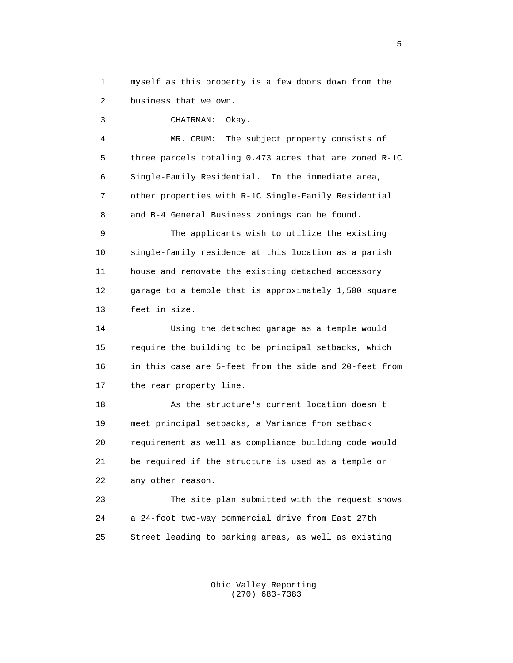1 myself as this property is a few doors down from the 2 business that we own.

3 CHAIRMAN: Okay.

 4 MR. CRUM: The subject property consists of 5 three parcels totaling 0.473 acres that are zoned R-1C 6 Single-Family Residential. In the immediate area, 7 other properties with R-1C Single-Family Residential 8 and B-4 General Business zonings can be found.

 9 The applicants wish to utilize the existing 10 single-family residence at this location as a parish 11 house and renovate the existing detached accessory 12 garage to a temple that is approximately 1,500 square 13 feet in size.

 14 Using the detached garage as a temple would 15 require the building to be principal setbacks, which 16 in this case are 5-feet from the side and 20-feet from 17 the rear property line.

 18 As the structure's current location doesn't 19 meet principal setbacks, a Variance from setback 20 requirement as well as compliance building code would 21 be required if the structure is used as a temple or 22 any other reason.

 23 The site plan submitted with the request shows 24 a 24-foot two-way commercial drive from East 27th 25 Street leading to parking areas, as well as existing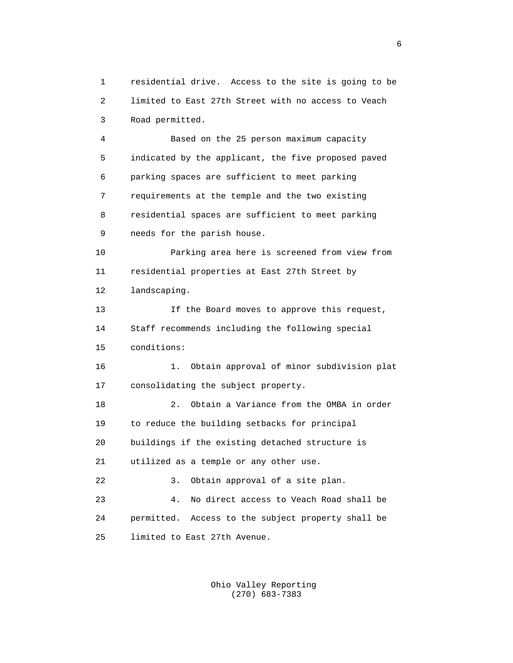1 residential drive. Access to the site is going to be 2 limited to East 27th Street with no access to Veach 3 Road permitted. 4 Based on the 25 person maximum capacity 5 indicated by the applicant, the five proposed paved 6 parking spaces are sufficient to meet parking 7 requirements at the temple and the two existing 8 residential spaces are sufficient to meet parking 9 needs for the parish house. 10 Parking area here is screened from view from 11 residential properties at East 27th Street by 12 landscaping. 13 If the Board moves to approve this request, 14 Staff recommends including the following special 15 conditions: 16 1. Obtain approval of minor subdivision plat 17 consolidating the subject property. 18 2. Obtain a Variance from the OMBA in order 19 to reduce the building setbacks for principal 20 buildings if the existing detached structure is 21 utilized as a temple or any other use. 22 3. Obtain approval of a site plan. 23 4. No direct access to Veach Road shall be 24 permitted. Access to the subject property shall be 25 limited to East 27th Avenue.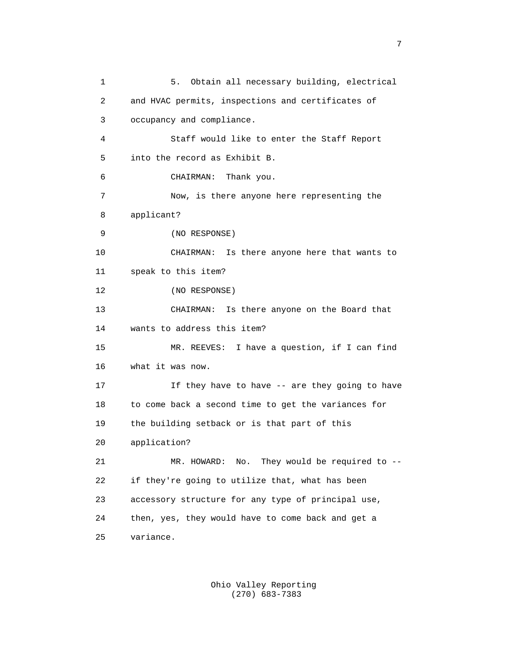1 5. Obtain all necessary building, electrical 2 and HVAC permits, inspections and certificates of 3 occupancy and compliance. 4 Staff would like to enter the Staff Report 5 into the record as Exhibit B. 6 CHAIRMAN: Thank you. 7 Now, is there anyone here representing the 8 applicant? 9 (NO RESPONSE) 10 CHAIRMAN: Is there anyone here that wants to 11 speak to this item? 12 (NO RESPONSE) 13 CHAIRMAN: Is there anyone on the Board that 14 wants to address this item? 15 MR. REEVES: I have a question, if I can find 16 what it was now. 17 If they have to have -- are they going to have 18 to come back a second time to get the variances for 19 the building setback or is that part of this 20 application? 21 MR. HOWARD: No. They would be required to -- 22 if they're going to utilize that, what has been 23 accessory structure for any type of principal use, 24 then, yes, they would have to come back and get a 25 variance.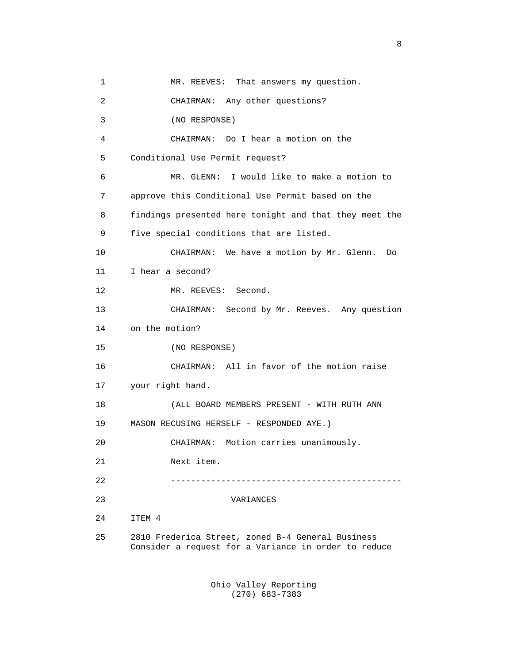1 MR. REEVES: That answers my question. 2 CHAIRMAN: Any other questions? 3 (NO RESPONSE) 4 CHAIRMAN: Do I hear a motion on the 5 Conditional Use Permit request? 6 MR. GLENN: I would like to make a motion to 7 approve this Conditional Use Permit based on the 8 findings presented here tonight and that they meet the 9 five special conditions that are listed. 10 CHAIRMAN: We have a motion by Mr. Glenn. Do 11 I hear a second? 12 MR. REEVES: Second. 13 CHAIRMAN: Second by Mr. Reeves. Any question 14 on the motion? 15 (NO RESPONSE) 16 CHAIRMAN: All in favor of the motion raise 17 your right hand. 18 (ALL BOARD MEMBERS PRESENT - WITH RUTH ANN 19 MASON RECUSING HERSELF - RESPONDED AYE.) 20 CHAIRMAN: Motion carries unanimously. 21 Next item. 22 ---------------------------------------------- 23 VARIANCES 24 ITEM 4 25 2810 Frederica Street, zoned B-4 General Business Consider a request for a Variance in order to reduce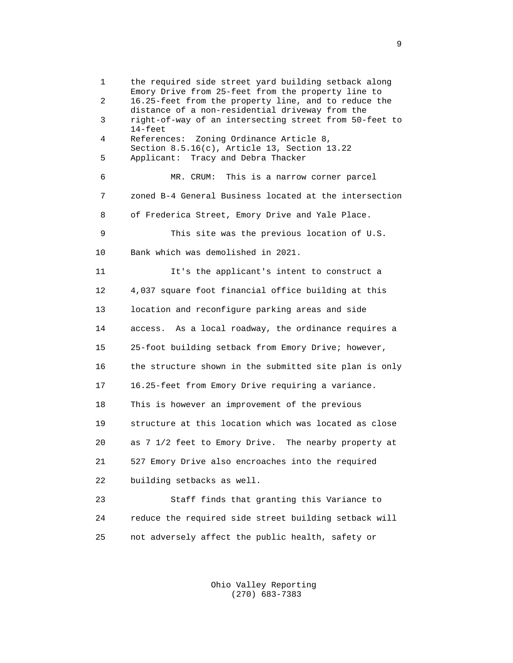1 the required side street yard building setback along Emory Drive from 25-feet from the property line to<br>2 16 25-feet from the property line and to reduce the 2 16.25-feet from the property line, and to reduce the distance of a non-residential driveway from the<br>3 right-of-way of an intersecting street from 50right-of-way of an intersecting street from 50-feet to 14-feet 4 References: Zoning Ordinance Article 8, Section 8.5.16(c), Article 13, Section 13.22<br>5 Applicant: Tracy and Debra Thacker Applicant: Tracy and Debra Thacker 6 MR. CRUM: This is a narrow corner parcel 7 zoned B-4 General Business located at the intersection 8 of Frederica Street, Emory Drive and Yale Place. 9 This site was the previous location of U.S. 10 Bank which was demolished in 2021. 11 It's the applicant's intent to construct a 12 4,037 square foot financial office building at this 13 location and reconfigure parking areas and side 14 access. As a local roadway, the ordinance requires a 15 25-foot building setback from Emory Drive; however, 16 the structure shown in the submitted site plan is only 17 16.25-feet from Emory Drive requiring a variance. 18 This is however an improvement of the previous 19 structure at this location which was located as close 20 as 7 1/2 feet to Emory Drive. The nearby property at 21 527 Emory Drive also encroaches into the required 22 building setbacks as well. 23 Staff finds that granting this Variance to 24 reduce the required side street building setback will

25 not adversely affect the public health, safety or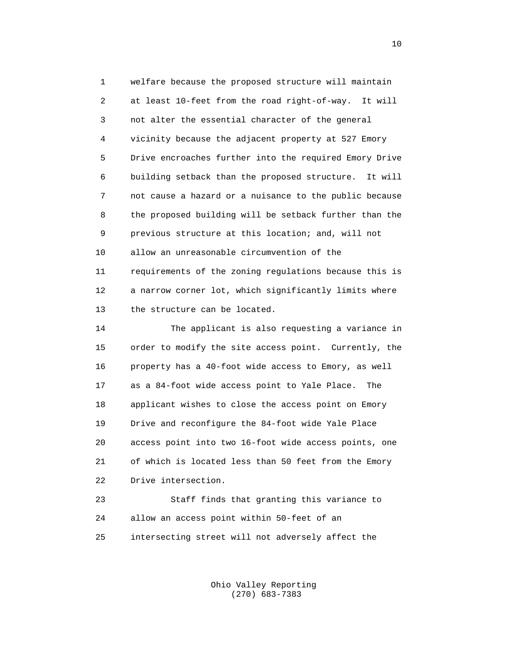1 welfare because the proposed structure will maintain 2 at least 10-feet from the road right-of-way. It will 3 not alter the essential character of the general 4 vicinity because the adjacent property at 527 Emory 5 Drive encroaches further into the required Emory Drive 6 building setback than the proposed structure. It will 7 not cause a hazard or a nuisance to the public because 8 the proposed building will be setback further than the 9 previous structure at this location; and, will not 10 allow an unreasonable circumvention of the 11 requirements of the zoning regulations because this is 12 a narrow corner lot, which significantly limits where 13 the structure can be located.

 14 The applicant is also requesting a variance in 15 order to modify the site access point. Currently, the 16 property has a 40-foot wide access to Emory, as well 17 as a 84-foot wide access point to Yale Place. The 18 applicant wishes to close the access point on Emory 19 Drive and reconfigure the 84-foot wide Yale Place 20 access point into two 16-foot wide access points, one 21 of which is located less than 50 feet from the Emory 22 Drive intersection.

 23 Staff finds that granting this variance to 24 allow an access point within 50-feet of an 25 intersecting street will not adversely affect the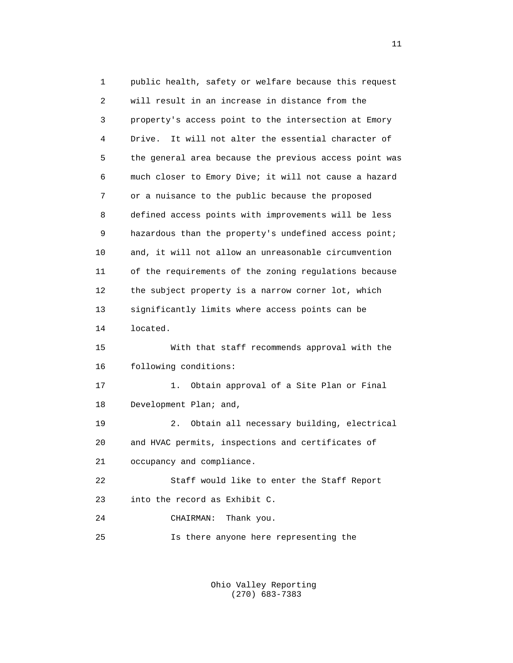1 public health, safety or welfare because this request 2 will result in an increase in distance from the 3 property's access point to the intersection at Emory 4 Drive. It will not alter the essential character of 5 the general area because the previous access point was 6 much closer to Emory Dive; it will not cause a hazard 7 or a nuisance to the public because the proposed 8 defined access points with improvements will be less 9 hazardous than the property's undefined access point; 10 and, it will not allow an unreasonable circumvention 11 of the requirements of the zoning regulations because 12 the subject property is a narrow corner lot, which 13 significantly limits where access points can be 14 located. 15 With that staff recommends approval with the 16 following conditions: 17 1. Obtain approval of a Site Plan or Final 18 Development Plan; and, 19 2. Obtain all necessary building, electrical 20 and HVAC permits, inspections and certificates of 21 occupancy and compliance. 22 Staff would like to enter the Staff Report 23 into the record as Exhibit C. 24 CHAIRMAN: Thank you. 25 Is there anyone here representing the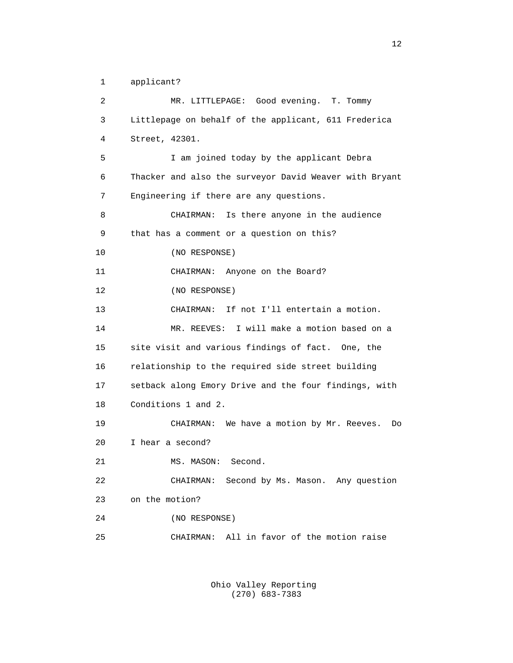1 applicant?

 2 MR. LITTLEPAGE: Good evening. T. Tommy 3 Littlepage on behalf of the applicant, 611 Frederica 4 Street, 42301. 5 I am joined today by the applicant Debra 6 Thacker and also the surveyor David Weaver with Bryant 7 Engineering if there are any questions. 8 CHAIRMAN: Is there anyone in the audience 9 that has a comment or a question on this? 10 (NO RESPONSE) 11 CHAIRMAN: Anyone on the Board? 12 (NO RESPONSE) 13 CHAIRMAN: If not I'll entertain a motion. 14 MR. REEVES: I will make a motion based on a 15 site visit and various findings of fact. One, the 16 relationship to the required side street building 17 setback along Emory Drive and the four findings, with 18 Conditions 1 and 2. 19 CHAIRMAN: We have a motion by Mr. Reeves. Do 20 I hear a second? 21 MS. MASON: Second. 22 CHAIRMAN: Second by Ms. Mason. Any question 23 on the motion? 24 (NO RESPONSE) 25 CHAIRMAN: All in favor of the motion raise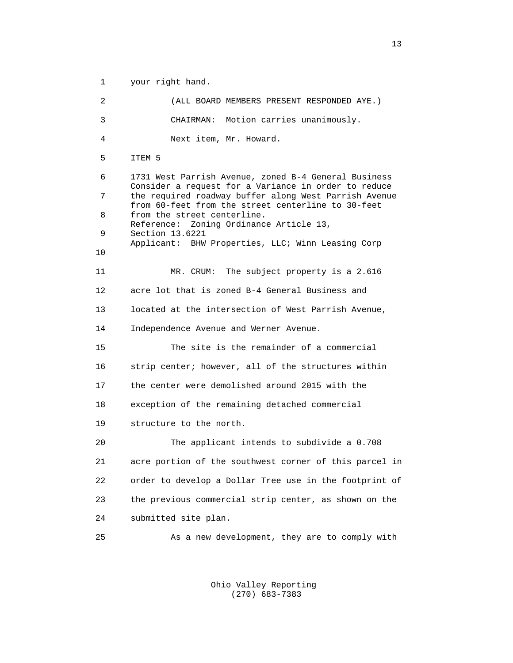1 your right hand. 2 (ALL BOARD MEMBERS PRESENT RESPONDED AYE.) 3 CHAIRMAN: Motion carries unanimously. 4 Next item, Mr. Howard. 5 ITEM 5 6 1731 West Parrish Avenue, zoned B-4 General Business Consider a request for a Variance in order to reduce<br>The required roadway buffer along West Parrish Avenue the required roadway buffer along West Parrish Avenue from 60-feet from the street centerline to 30-feet<br>8 from the street centerline. Reference: Zoning Ordinance Article 13,<br>9 Section 13.6221 9 Section 13.6221 Applicant: BHW Properties, LLC; Winn Leasing Corp 10 10 11 MR. CRUM: The subject property is a 2.616 12 acre lot that is zoned B-4 General Business and 13 located at the intersection of West Parrish Avenue, 14 Independence Avenue and Werner Avenue. 15 The site is the remainder of a commercial 16 strip center; however, all of the structures within 17 the center were demolished around 2015 with the 18 exception of the remaining detached commercial 19 structure to the north. 20 The applicant intends to subdivide a 0.708 21 acre portion of the southwest corner of this parcel in 22 order to develop a Dollar Tree use in the footprint of 23 the previous commercial strip center, as shown on the 24 submitted site plan. 25 As a new development, they are to comply with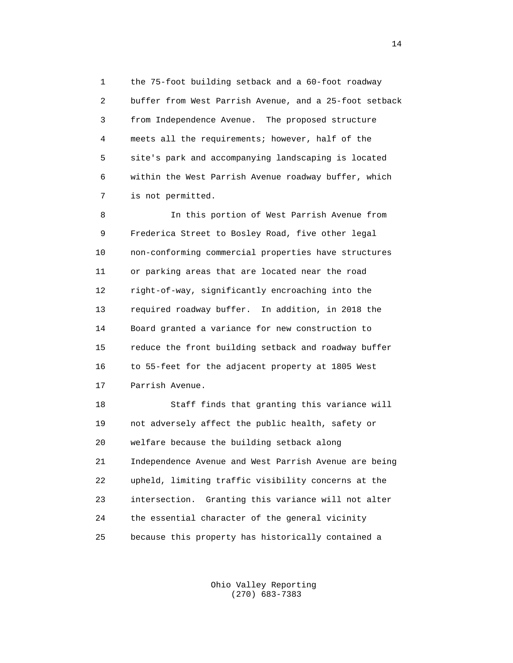1 the 75-foot building setback and a 60-foot roadway 2 buffer from West Parrish Avenue, and a 25-foot setback 3 from Independence Avenue. The proposed structure 4 meets all the requirements; however, half of the 5 site's park and accompanying landscaping is located 6 within the West Parrish Avenue roadway buffer, which 7 is not permitted.

 8 In this portion of West Parrish Avenue from 9 Frederica Street to Bosley Road, five other legal 10 non-conforming commercial properties have structures 11 or parking areas that are located near the road 12 right-of-way, significantly encroaching into the 13 required roadway buffer. In addition, in 2018 the 14 Board granted a variance for new construction to 15 reduce the front building setback and roadway buffer 16 to 55-feet for the adjacent property at 1805 West 17 Parrish Avenue.

 18 Staff finds that granting this variance will 19 not adversely affect the public health, safety or 20 welfare because the building setback along 21 Independence Avenue and West Parrish Avenue are being 22 upheld, limiting traffic visibility concerns at the 23 intersection. Granting this variance will not alter 24 the essential character of the general vicinity 25 because this property has historically contained a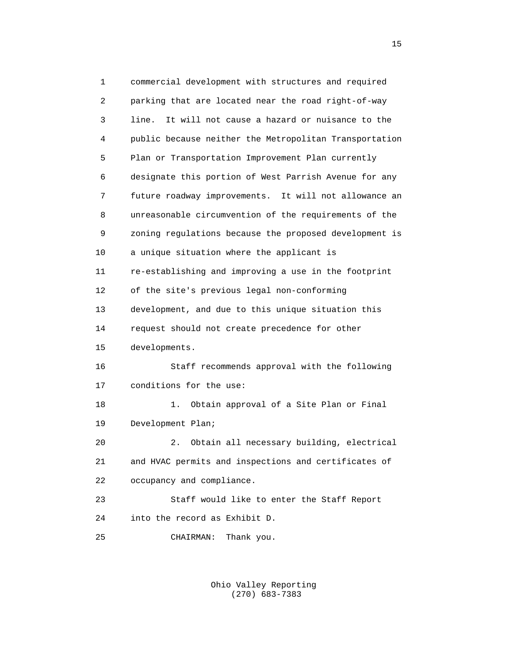1 commercial development with structures and required 2 parking that are located near the road right-of-way 3 line. It will not cause a hazard or nuisance to the 4 public because neither the Metropolitan Transportation 5 Plan or Transportation Improvement Plan currently 6 designate this portion of West Parrish Avenue for any 7 future roadway improvements. It will not allowance an 8 unreasonable circumvention of the requirements of the 9 zoning regulations because the proposed development is 10 a unique situation where the applicant is 11 re-establishing and improving a use in the footprint 12 of the site's previous legal non-conforming 13 development, and due to this unique situation this 14 request should not create precedence for other 15 developments. 16 Staff recommends approval with the following 17 conditions for the use: 18 1. Obtain approval of a Site Plan or Final 19 Development Plan; 20 2. Obtain all necessary building, electrical 21 and HVAC permits and inspections and certificates of 22 occupancy and compliance. 23 Staff would like to enter the Staff Report 24 into the record as Exhibit D. 25 CHAIRMAN: Thank you.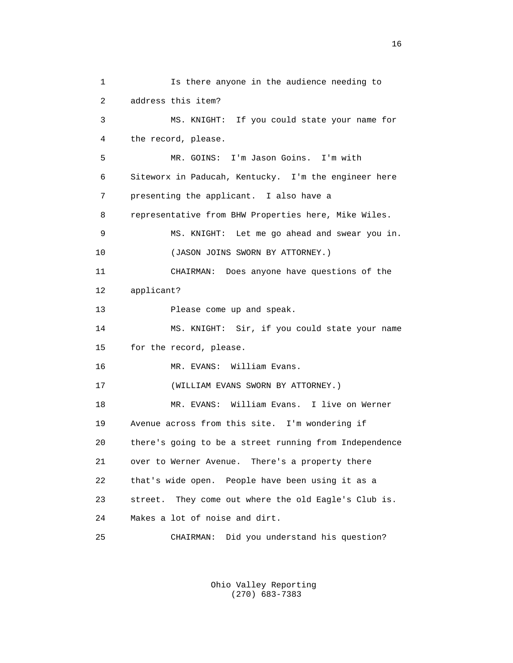1 Is there anyone in the audience needing to 2 address this item? 3 MS. KNIGHT: If you could state your name for 4 the record, please. 5 MR. GOINS: I'm Jason Goins. I'm with 6 Siteworx in Paducah, Kentucky. I'm the engineer here 7 presenting the applicant. I also have a 8 representative from BHW Properties here, Mike Wiles. 9 MS. KNIGHT: Let me go ahead and swear you in. 10 (JASON JOINS SWORN BY ATTORNEY.) 11 CHAIRMAN: Does anyone have questions of the 12 applicant? 13 Please come up and speak. 14 MS. KNIGHT: Sir, if you could state your name 15 for the record, please. 16 MR. EVANS: William Evans. 17 (WILLIAM EVANS SWORN BY ATTORNEY.) 18 MR. EVANS: William Evans. I live on Werner 19 Avenue across from this site. I'm wondering if 20 there's going to be a street running from Independence 21 over to Werner Avenue. There's a property there 22 that's wide open. People have been using it as a 23 street. They come out where the old Eagle's Club is. 24 Makes a lot of noise and dirt. 25 CHAIRMAN: Did you understand his question?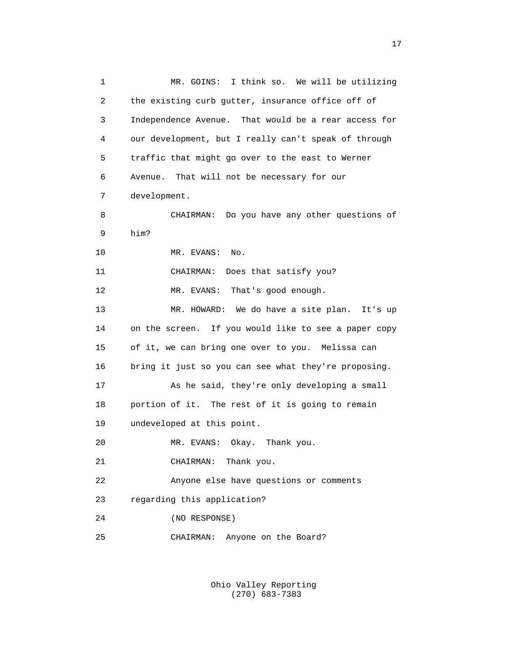1 MR. GOINS: I think so. We will be utilizing 2 the existing curb gutter, insurance office off of 3 Independence Avenue. That would be a rear access for 4 our development, but I really can't speak of through 5 traffic that might go over to the east to Werner 6 Avenue. That will not be necessary for our 7 development. 8 CHAIRMAN: Do you have any other questions of 9 him? 10 MR. EVANS: No. 11 CHAIRMAN: Does that satisfy you? 12 MR. EVANS: That's good enough. 13 MR. HOWARD: We do have a site plan. It's up 14 on the screen. If you would like to see a paper copy 15 of it, we can bring one over to you. Melissa can 16 bring it just so you can see what they're proposing. 17 As he said, they're only developing a small 18 portion of it. The rest of it is going to remain 19 undeveloped at this point. 20 MR. EVANS: Okay. Thank you. 21 CHAIRMAN: Thank you. 22 Anyone else have questions or comments 23 regarding this application? 24 (NO RESPONSE) 25 CHAIRMAN: Anyone on the Board?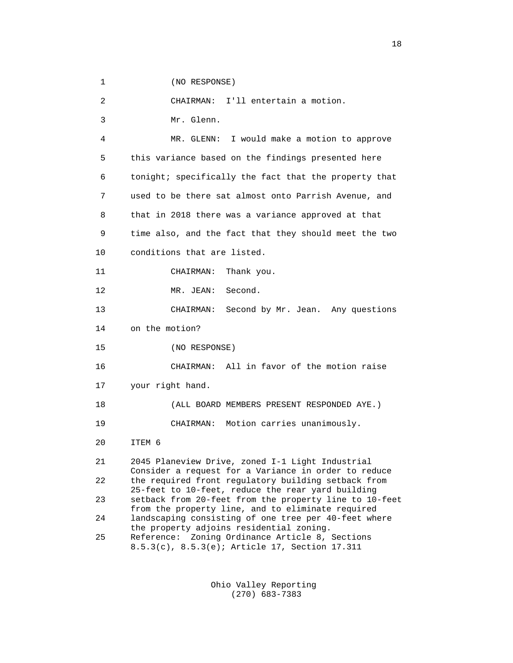1 (NO RESPONSE)

 2 CHAIRMAN: I'll entertain a motion. 3 Mr. Glenn. 4 MR. GLENN: I would make a motion to approve 5 this variance based on the findings presented here 6 tonight; specifically the fact that the property that 7 used to be there sat almost onto Parrish Avenue, and

 9 time also, and the fact that they should meet the two 10 conditions that are listed.

8 that in 2018 there was a variance approved at that

11 CHAIRMAN: Thank you.

12 MR. JEAN: Second.

 13 CHAIRMAN: Second by Mr. Jean. Any questions 14 on the motion?

15 (NO RESPONSE)

16 CHAIRMAN: All in favor of the motion raise

17 your right hand.

18 (ALL BOARD MEMBERS PRESENT RESPONDED AYE.)

19 CHAIRMAN: Motion carries unanimously.

20 ITEM 6

 21 2045 Planeview Drive, zoned I-1 Light Industrial Consider a request for a Variance in order to reduce<br>22 the required front requlatory building setback from the required front regulatory building setback from 25-feet to 10-feet, reduce the rear yard building 23 setback from 20-feet from the property line to 10-feet from the property line, and to eliminate required<br>24 Iandscaping consisting of one tree per 40-feet whe landscaping consisting of one tree per 40-feet where the property adjoins residential zoning.<br>25 Reference: Zoning Ordinance Article 8. Reference: Zoning Ordinance Article 8, Sections 8.5.3(c), 8.5.3(e); Article 17, Section 17.311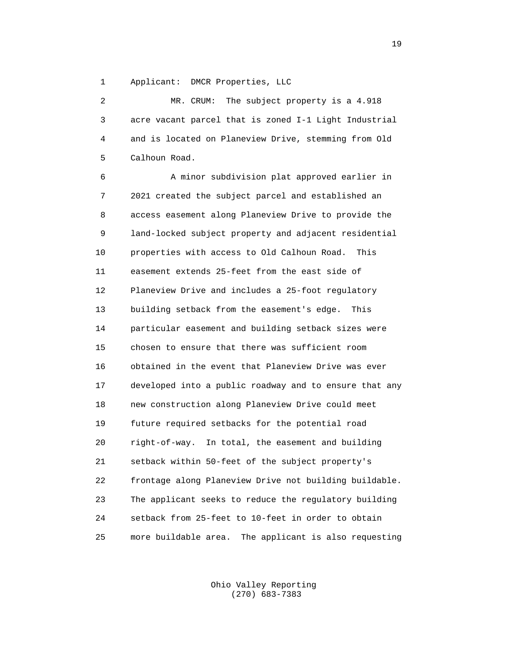1 Applicant: DMCR Properties, LLC

|   | MR. CRUM: The subject property is a 4.918               |
|---|---------------------------------------------------------|
|   | 3 acre vacant parcel that is zoned I-1 Light Industrial |
| 4 | and is located on Planeview Drive, stemming from Old    |
|   | 5 Calhoun Road.                                         |
|   |                                                         |

 6 A minor subdivision plat approved earlier in 7 2021 created the subject parcel and established an 8 access easement along Planeview Drive to provide the 9 land-locked subject property and adjacent residential 10 properties with access to Old Calhoun Road. This 11 easement extends 25-feet from the east side of 12 Planeview Drive and includes a 25-foot regulatory 13 building setback from the easement's edge. This 14 particular easement and building setback sizes were 15 chosen to ensure that there was sufficient room 16 obtained in the event that Planeview Drive was ever 17 developed into a public roadway and to ensure that any 18 new construction along Planeview Drive could meet 19 future required setbacks for the potential road 20 right-of-way. In total, the easement and building 21 setback within 50-feet of the subject property's 22 frontage along Planeview Drive not building buildable. 23 The applicant seeks to reduce the regulatory building 24 setback from 25-feet to 10-feet in order to obtain 25 more buildable area. The applicant is also requesting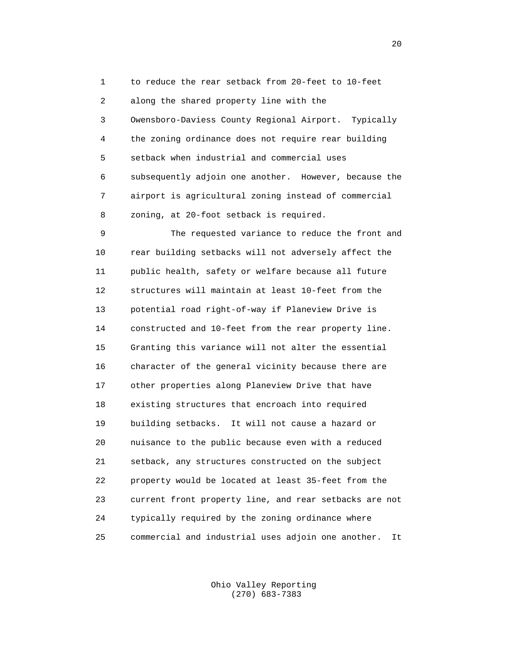1 to reduce the rear setback from 20-feet to 10-feet 2 along the shared property line with the 3 Owensboro-Daviess County Regional Airport. Typically 4 the zoning ordinance does not require rear building 5 setback when industrial and commercial uses 6 subsequently adjoin one another. However, because the 7 airport is agricultural zoning instead of commercial 8 zoning, at 20-foot setback is required.

 9 The requested variance to reduce the front and 10 rear building setbacks will not adversely affect the 11 public health, safety or welfare because all future 12 structures will maintain at least 10-feet from the 13 potential road right-of-way if Planeview Drive is 14 constructed and 10-feet from the rear property line. 15 Granting this variance will not alter the essential 16 character of the general vicinity because there are 17 other properties along Planeview Drive that have 18 existing structures that encroach into required 19 building setbacks. It will not cause a hazard or 20 nuisance to the public because even with a reduced 21 setback, any structures constructed on the subject 22 property would be located at least 35-feet from the 23 current front property line, and rear setbacks are not 24 typically required by the zoning ordinance where 25 commercial and industrial uses adjoin one another. It

> Ohio Valley Reporting (270) 683-7383

 $20$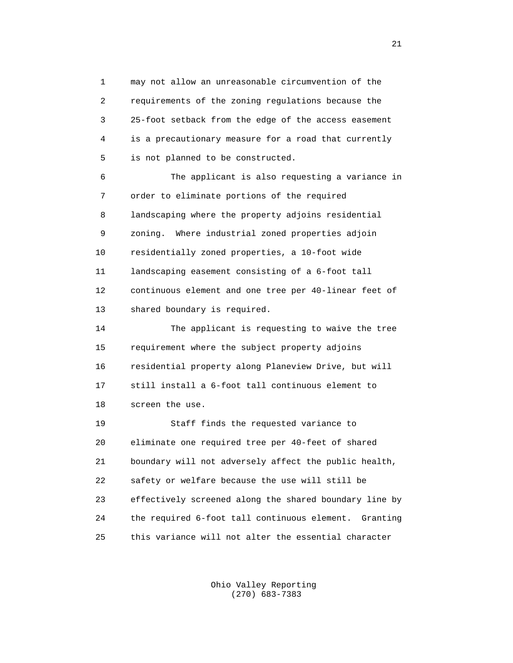1 may not allow an unreasonable circumvention of the 2 requirements of the zoning regulations because the 3 25-foot setback from the edge of the access easement 4 is a precautionary measure for a road that currently 5 is not planned to be constructed.

 6 The applicant is also requesting a variance in 7 order to eliminate portions of the required 8 landscaping where the property adjoins residential 9 zoning. Where industrial zoned properties adjoin 10 residentially zoned properties, a 10-foot wide 11 landscaping easement consisting of a 6-foot tall 12 continuous element and one tree per 40-linear feet of 13 shared boundary is required.

 14 The applicant is requesting to waive the tree 15 requirement where the subject property adjoins 16 residential property along Planeview Drive, but will 17 still install a 6-foot tall continuous element to 18 screen the use.

 19 Staff finds the requested variance to 20 eliminate one required tree per 40-feet of shared 21 boundary will not adversely affect the public health, 22 safety or welfare because the use will still be 23 effectively screened along the shared boundary line by 24 the required 6-foot tall continuous element. Granting 25 this variance will not alter the essential character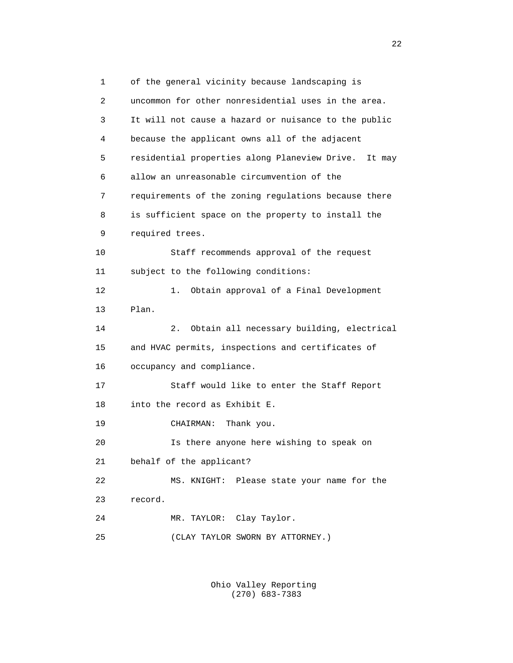1 of the general vicinity because landscaping is 2 uncommon for other nonresidential uses in the area. 3 It will not cause a hazard or nuisance to the public 4 because the applicant owns all of the adjacent 5 residential properties along Planeview Drive. It may 6 allow an unreasonable circumvention of the 7 requirements of the zoning regulations because there 8 is sufficient space on the property to install the 9 required trees. 10 Staff recommends approval of the request 11 subject to the following conditions: 12 1. Obtain approval of a Final Development 13 Plan. 14 2. Obtain all necessary building, electrical 15 and HVAC permits, inspections and certificates of 16 occupancy and compliance. 17 Staff would like to enter the Staff Report 18 into the record as Exhibit E. 19 CHAIRMAN: Thank you. 20 Is there anyone here wishing to speak on 21 behalf of the applicant? 22 MS. KNIGHT: Please state your name for the 23 record. 24 MR. TAYLOR: Clay Taylor. 25 (CLAY TAYLOR SWORN BY ATTORNEY.)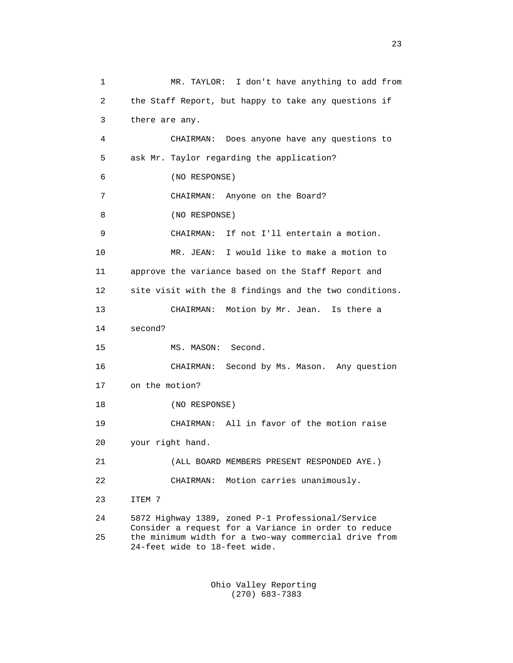1 MR. TAYLOR: I don't have anything to add from 2 the Staff Report, but happy to take any questions if 3 there are any. 4 CHAIRMAN: Does anyone have any questions to 5 ask Mr. Taylor regarding the application? 6 (NO RESPONSE) 7 CHAIRMAN: Anyone on the Board? 8 (NO RESPONSE) 9 CHAIRMAN: If not I'll entertain a motion. 10 MR. JEAN: I would like to make a motion to 11 approve the variance based on the Staff Report and 12 site visit with the 8 findings and the two conditions. 13 CHAIRMAN: Motion by Mr. Jean. Is there a 14 second? 15 MS. MASON: Second. 16 CHAIRMAN: Second by Ms. Mason. Any question 17 on the motion? 18 (NO RESPONSE) 19 CHAIRMAN: All in favor of the motion raise 20 your right hand. 21 (ALL BOARD MEMBERS PRESENT RESPONDED AYE.) 22 CHAIRMAN: Motion carries unanimously. 23 ITEM 7 24 5872 Highway 1389, zoned P-1 Professional/Service Consider a request for a Variance in order to reduce<br>25 the minimum width for a two-way commercial drive from the minimum width for a two-way commercial drive from 24-feet wide to 18-feet wide.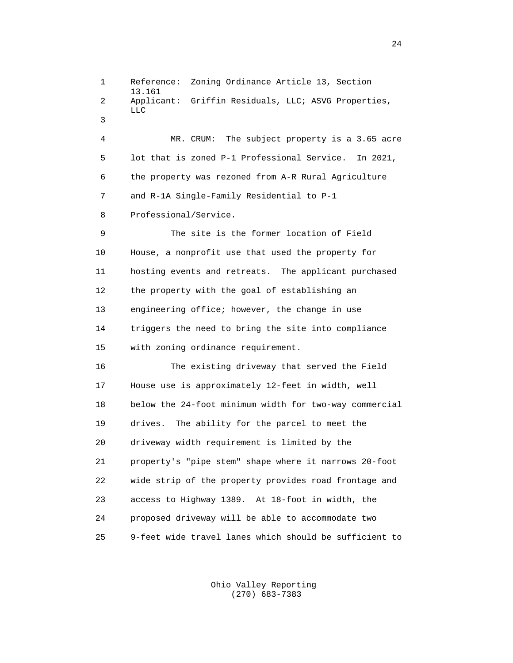1 Reference: Zoning Ordinance Article 13, Section 13.161<br>2 Applic Applicant: Griffin Residuals, LLC; ASVG Properties, LLC **LLC**  3 4 MR. CRUM: The subject property is a 3.65 acre 5 lot that is zoned P-1 Professional Service. In 2021, 6 the property was rezoned from A-R Rural Agriculture 7 and R-1A Single-Family Residential to P-1 8 Professional/Service. 9 The site is the former location of Field 10 House, a nonprofit use that used the property for 11 hosting events and retreats. The applicant purchased 12 the property with the goal of establishing an 13 engineering office; however, the change in use 14 triggers the need to bring the site into compliance 15 with zoning ordinance requirement. 16 The existing driveway that served the Field 17 House use is approximately 12-feet in width, well 18 below the 24-foot minimum width for two-way commercial 19 drives. The ability for the parcel to meet the 20 driveway width requirement is limited by the 21 property's "pipe stem" shape where it narrows 20-foot 22 wide strip of the property provides road frontage and 23 access to Highway 1389. At 18-foot in width, the 24 proposed driveway will be able to accommodate two 25 9-feet wide travel lanes which should be sufficient to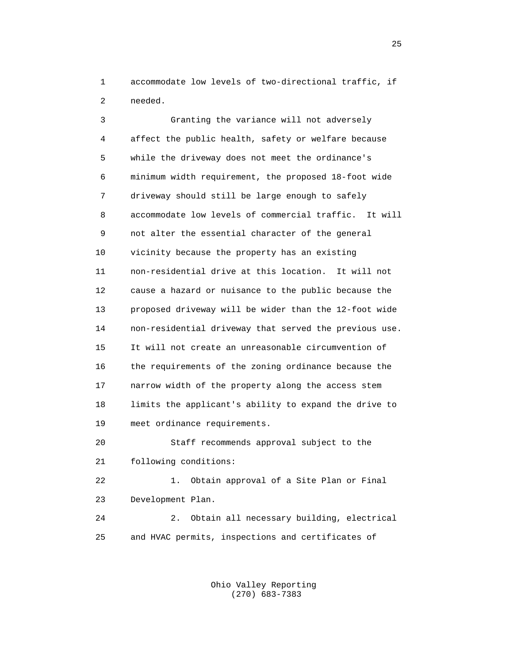1 accommodate low levels of two-directional traffic, if 2 needed.

 3 Granting the variance will not adversely 4 affect the public health, safety or welfare because 5 while the driveway does not meet the ordinance's 6 minimum width requirement, the proposed 18-foot wide 7 driveway should still be large enough to safely 8 accommodate low levels of commercial traffic. It will 9 not alter the essential character of the general 10 vicinity because the property has an existing 11 non-residential drive at this location. It will not 12 cause a hazard or nuisance to the public because the 13 proposed driveway will be wider than the 12-foot wide 14 non-residential driveway that served the previous use. 15 It will not create an unreasonable circumvention of 16 the requirements of the zoning ordinance because the 17 narrow width of the property along the access stem 18 limits the applicant's ability to expand the drive to 19 meet ordinance requirements. 20 Staff recommends approval subject to the 21 following conditions:

 22 1. Obtain approval of a Site Plan or Final 23 Development Plan. 24 2. Obtain all necessary building, electrical 25 and HVAC permits, inspections and certificates of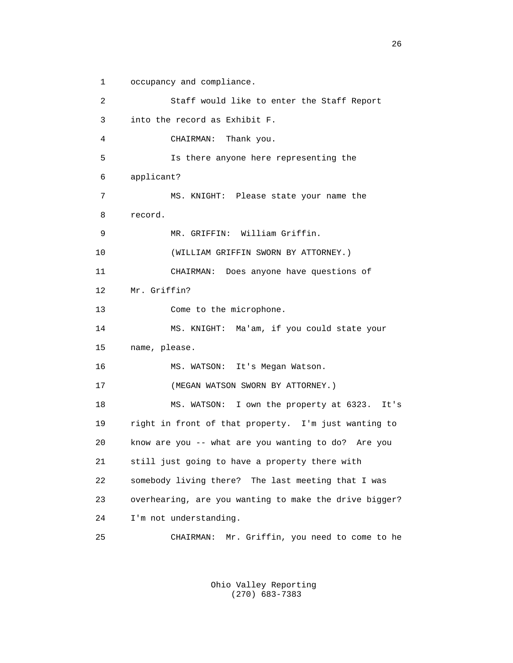1 occupancy and compliance. 2 Staff would like to enter the Staff Report 3 into the record as Exhibit F. 4 CHAIRMAN: Thank you. 5 Is there anyone here representing the 6 applicant? 7 MS. KNIGHT: Please state your name the 8 record. 9 MR. GRIFFIN: William Griffin. 10 (WILLIAM GRIFFIN SWORN BY ATTORNEY.) 11 CHAIRMAN: Does anyone have questions of 12 Mr. Griffin? 13 Come to the microphone. 14 MS. KNIGHT: Ma'am, if you could state your 15 name, please. 16 MS. WATSON: It's Megan Watson. 17 (MEGAN WATSON SWORN BY ATTORNEY.) 18 MS. WATSON: I own the property at 6323. It's 19 right in front of that property. I'm just wanting to 20 know are you -- what are you wanting to do? Are you 21 still just going to have a property there with 22 somebody living there? The last meeting that I was 23 overhearing, are you wanting to make the drive bigger? 24 I'm not understanding. 25 CHAIRMAN: Mr. Griffin, you need to come to he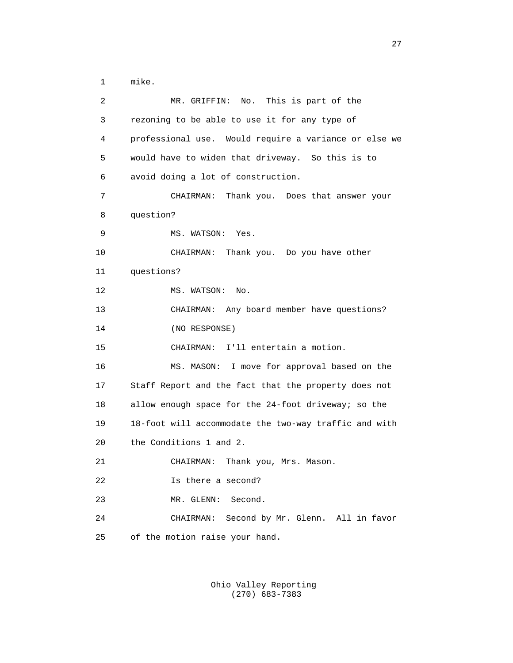1 mike.

| 2  | MR. GRIFFIN: No. This is part of the                  |
|----|-------------------------------------------------------|
| 3  | rezoning to be able to use it for any type of         |
| 4  | professional use. Would require a variance or else we |
| 5  | would have to widen that driveway. So this is to      |
| 6  | avoid doing a lot of construction.                    |
| 7  | CHAIRMAN: Thank you. Does that answer your            |
| 8  | question?                                             |
| 9  | MS. WATSON: Yes.                                      |
| 10 | CHAIRMAN: Thank you. Do you have other                |
| 11 | questions?                                            |
| 12 | MS. WATSON:<br>No.                                    |
| 13 | CHAIRMAN: Any board member have questions?            |
| 14 | (NO RESPONSE)                                         |
| 15 | CHAIRMAN: I'll entertain a motion.                    |
| 16 | MS. MASON: I move for approval based on the           |
| 17 | Staff Report and the fact that the property does not  |
| 18 | allow enough space for the 24-foot driveway; so the   |
| 19 | 18-foot will accommodate the two-way traffic and with |
| 20 | the Conditions 1 and 2.                               |
| 21 | Thank you, Mrs. Mason.<br>CHAIRMAN:                   |
| 22 | Is there a second?                                    |
| 23 | Second.<br>MR. GLENN:                                 |
| 24 | Second by Mr. Glenn. All in favor<br>CHAIRMAN:        |
| 25 | of the motion raise your hand.                        |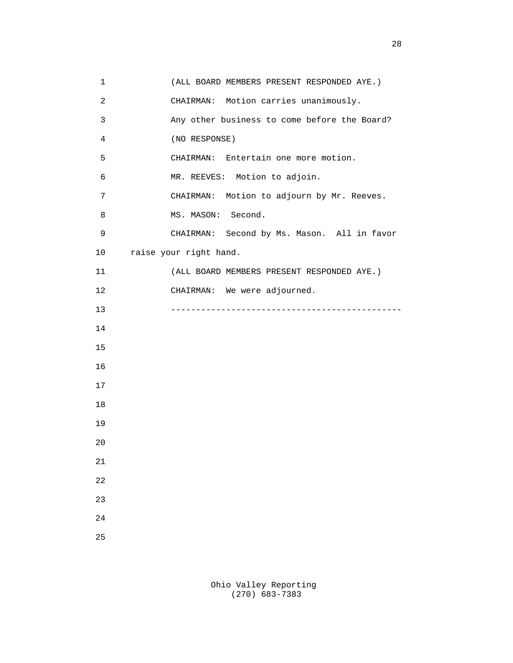1 (ALL BOARD MEMBERS PRESENT RESPONDED AYE.) 2 CHAIRMAN: Motion carries unanimously. 3 Any other business to come before the Board? 4 (NO RESPONSE) 5 CHAIRMAN: Entertain one more motion. 6 MR. REEVES: Motion to adjoin. 7 CHAIRMAN: Motion to adjourn by Mr. Reeves. 8 MS. MASON: Second. 9 CHAIRMAN: Second by Ms. Mason. All in favor 10 raise your right hand. 11 (ALL BOARD MEMBERS PRESENT RESPONDED AYE.) 12 CHAIRMAN: We were adjourned. 13 ---------------------------------------------- 14 15 16 17 18 19 20 21 22 23 24 25